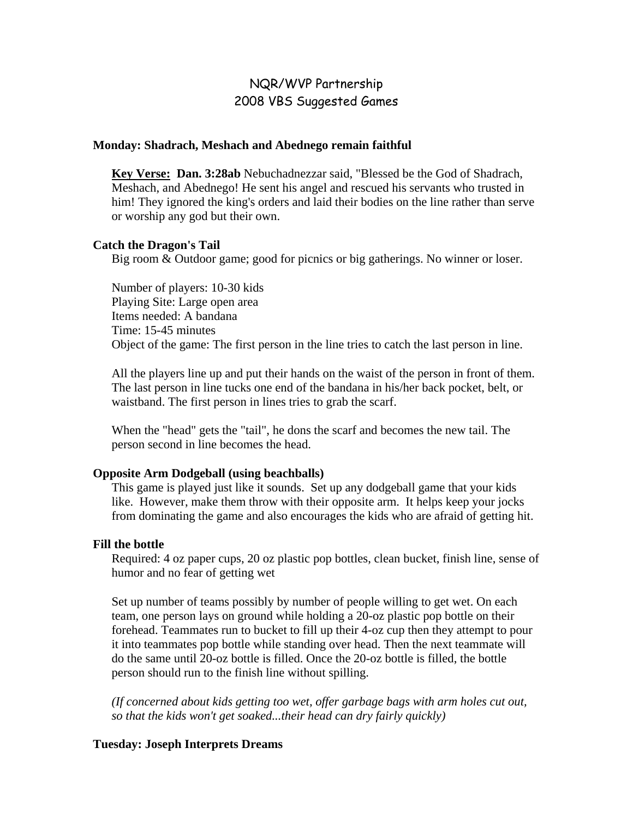# NQR/WVP Partnership 2008 VBS Suggested Games

#### **Monday: Shadrach, Meshach and Abednego remain faithful**

**Key Verse: Dan. 3:28ab** Nebuchadnezzar said, "Blessed be the God of Shadrach, Meshach, and Abednego! He sent his angel and rescued his servants who trusted in him! They ignored the king's orders and laid their bodies on the line rather than serve or worship any god but their own.

#### **Catch the Dragon's Tail**

Big room & Outdoor game; good for picnics or big gatherings. No winner or loser.

Number of players: 10-30 kids Playing Site: Large open area Items needed: A bandana Time: 15-45 minutes Object of the game: The first person in the line tries to catch the last person in line.

All the players line up and put their hands on the waist of the person in front of them. The last person in line tucks one end of the bandana in his/her back pocket, belt, or waistband. The first person in lines tries to grab the scarf.

When the "head" gets the "tail", he dons the scarf and becomes the new tail. The person second in line becomes the head.

#### **Opposite Arm Dodgeball (using beachballs)**

This game is played just like it sounds. Set up any dodgeball game that your kids like. However, make them throw with their opposite arm. It helps keep your jocks from dominating the game and also encourages the kids who are afraid of getting hit.

#### **Fill the bottle**

Required: 4 oz paper cups, 20 oz plastic pop bottles, clean bucket, finish line, sense of humor and no fear of getting wet

Set up number of teams possibly by number of people willing to get wet. On each team, one person lays on ground while holding a 20-oz plastic pop bottle on their forehead. Teammates run to bucket to fill up their 4-oz cup then they attempt to pour it into teammates pop bottle while standing over head. Then the next teammate will do the same until 20-oz bottle is filled. Once the 20-oz bottle is filled, the bottle person should run to the finish line without spilling.

*(If concerned about kids getting too wet, offer garbage bags with arm holes cut out, so that the kids won't get soaked...their head can dry fairly quickly)* 

#### **Tuesday: Joseph Interprets Dreams**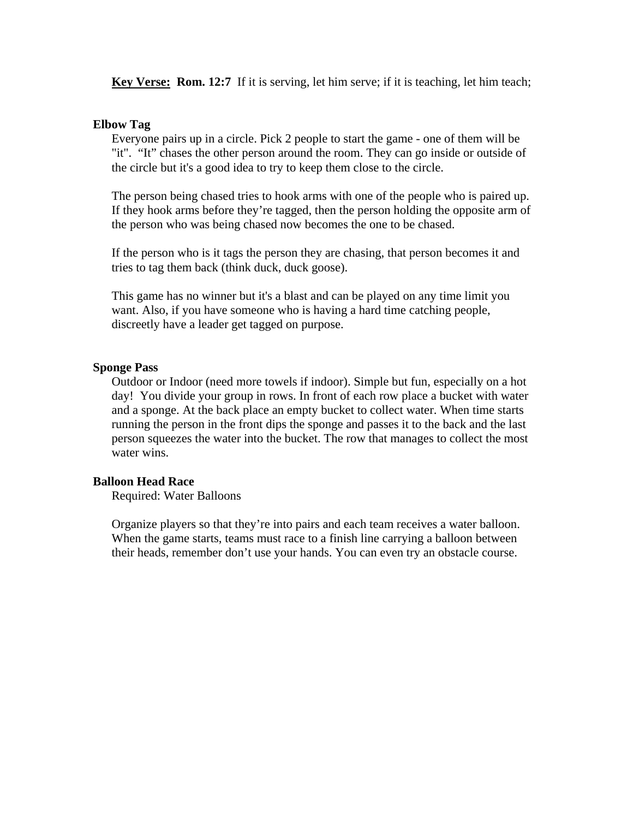**Key Verse: Rom. 12:7** If it is serving, let him serve; if it is teaching, let him teach;

#### **Elbow Tag**

Everyone pairs up in a circle. Pick 2 people to start the game - one of them will be "it". "It" chases the other person around the room. They can go inside or outside of the circle but it's a good idea to try to keep them close to the circle.

The person being chased tries to hook arms with one of the people who is paired up. If they hook arms before they're tagged, then the person holding the opposite arm of the person who was being chased now becomes the one to be chased.

If the person who is it tags the person they are chasing, that person becomes it and tries to tag them back (think duck, duck goose).

This game has no winner but it's a blast and can be played on any time limit you want. Also, if you have someone who is having a hard time catching people, discreetly have a leader get tagged on purpose.

#### **Sponge Pass**

Outdoor or Indoor (need more towels if indoor). Simple but fun, especially on a hot day! You divide your group in rows. In front of each row place a bucket with water and a sponge. At the back place an empty bucket to collect water. When time starts running the person in the front dips the sponge and passes it to the back and the last person squeezes the water into the bucket. The row that manages to collect the most water wins.

#### **Balloon Head Race**

Required: Water Balloons

Organize players so that they're into pairs and each team receives a water balloon. When the game starts, teams must race to a finish line carrying a balloon between their heads, remember don't use your hands. You can even try an obstacle course.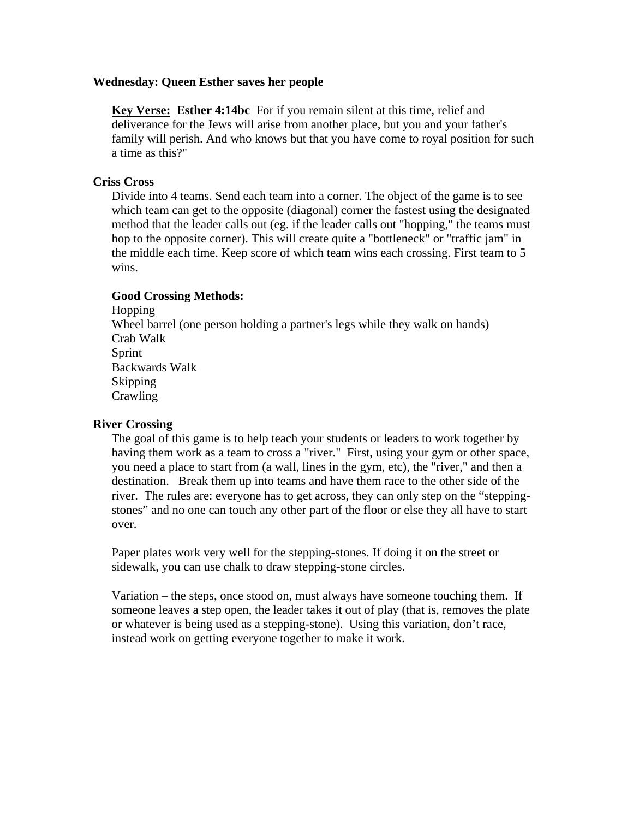#### **Wednesday: Queen Esther saves her people**

**Key Verse: Esther 4:14bc** For if you remain silent at this time, relief and deliverance for the Jews will arise from another place, but you and your father's family will perish. And who knows but that you have come to royal position for such a time as this?"

### **Criss Cross**

Divide into 4 teams. Send each team into a corner. The object of the game is to see which team can get to the opposite (diagonal) corner the fastest using the designated method that the leader calls out (eg. if the leader calls out "hopping," the teams must hop to the opposite corner). This will create quite a "bottleneck" or "traffic jam" in the middle each time. Keep score of which team wins each crossing. First team to 5 wins.

### **Good Crossing Methods:**

Hopping Wheel barrel (one person holding a partner's legs while they walk on hands) Crab Walk Sprint Backwards Walk Skipping Crawling

### **River Crossing**

The goal of this game is to help teach your students or leaders to work together by having them work as a team to cross a "river." First, using your gym or other space, you need a place to start from (a wall, lines in the gym, etc), the "river," and then a destination. Break them up into teams and have them race to the other side of the river. The rules are: everyone has to get across, they can only step on the "steppingstones" and no one can touch any other part of the floor or else they all have to start over.

 Paper plates work very well for the stepping-stones. If doing it on the street or sidewalk, you can use chalk to draw stepping-stone circles.

 Variation – the steps, once stood on, must always have someone touching them. If someone leaves a step open, the leader takes it out of play (that is, removes the plate or whatever is being used as a stepping-stone). Using this variation, don't race, instead work on getting everyone together to make it work.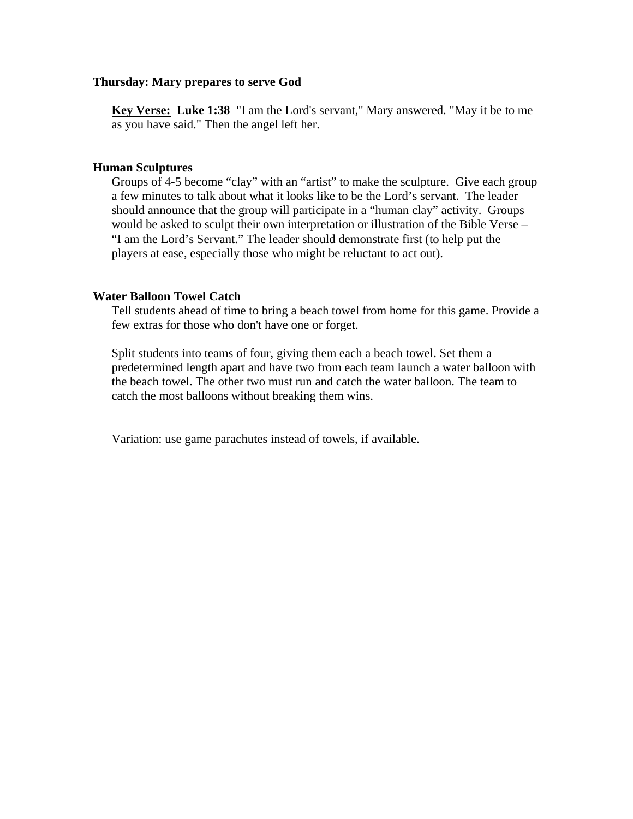#### **Thursday: Mary prepares to serve God**

 **Key Verse: Luke 1:38** "I am the Lord's servant," Mary answered. "May it be to me as you have said." Then the angel left her.

### **Human Sculptures**

Groups of 4-5 become "clay" with an "artist" to make the sculpture. Give each group a few minutes to talk about what it looks like to be the Lord's servant. The leader should announce that the group will participate in a "human clay" activity. Groups would be asked to sculpt their own interpretation or illustration of the Bible Verse – "I am the Lord's Servant." The leader should demonstrate first (to help put the players at ease, especially those who might be reluctant to act out).

### **Water Balloon Towel Catch**

Tell students ahead of time to bring a beach towel from home for this game. Provide a few extras for those who don't have one or forget.

Split students into teams of four, giving them each a beach towel. Set them a predetermined length apart and have two from each team launch a water balloon with the beach towel. The other two must run and catch the water balloon. The team to catch the most balloons without breaking them wins.

Variation: use game parachutes instead of towels, if available.